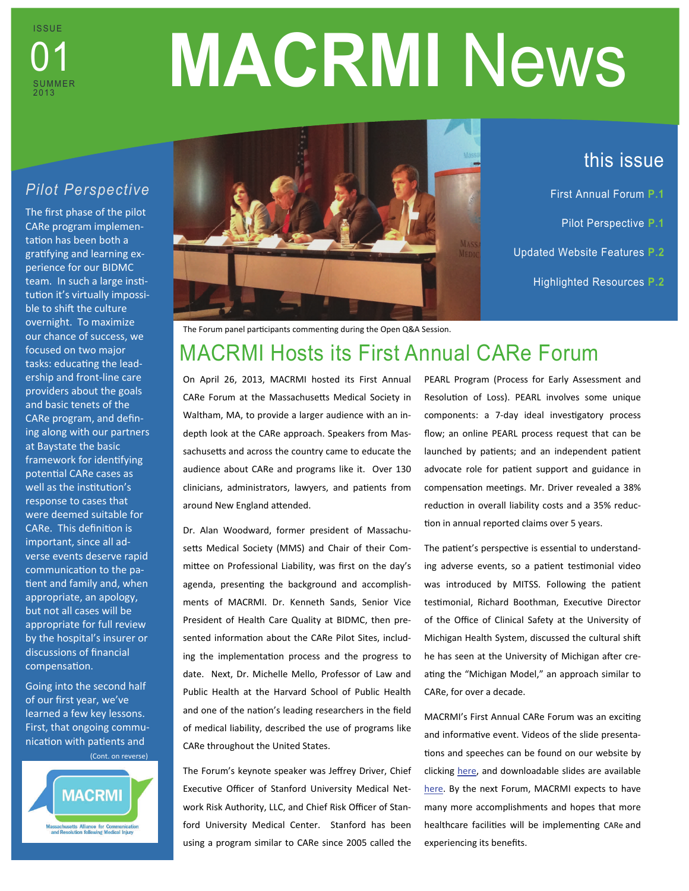

# **MACRMI** News

# *Pilot Perspective*

The first phase of the pilot CARe program implementation has been both a gratifying and learning experience for our BIDMC team. In such a large institution it's virtually impossible to shift the culture overnight. To maximize our chance of success, we focused on two major tasks: educating the leadership and front-line care providers about the goals and basic tenets of the CARe program, and defining along with our partners at Baystate the basic framework for identifying potential CARe cases as well as the institution's response to cases that were deemed suitable for CARe. This definition is important, since all adverse events deserve rapid communication to the patient and family and, when appropriate, an apology, but not all cases will be appropriate for full review by the hospital's insurer or discussions of financial compensation.

Going into the second half of our first year, we've learned a few key lessons. First, that ongoing communication with patients and (Cont. on reverse)





# this issue

- First Annual Forum **P.1**
	- Pilot Perspective **P.1**
- Updated Website Features **P.2**
	- Highlighted Resources **P.2**

The Forum panel participants commenting during the Open Q&A Session.

# MACRMI Hosts its First Annual CARe Forum

On April 26, 2013, MACRMI hosted its First Annual CARe Forum at the Massachusetts Medical Society in Waltham, MA, to provide a larger audience with an indepth look at the CARe approach. Speakers from Massachusetts and across the country came to educate the audience about CARe and programs like it. Over 130 clinicians, administrators, lawyers, and patients from around New England attended.

Dr. Alan Woodward, former president of Massachusetts Medical Society (MMS) and Chair of their Committee on Professional Liability, was first on the day's agenda, presenting the background and accomplishments of MACRMI. Dr. Kenneth Sands, Senior Vice President of Health Care Quality at BIDMC, then presented information about the CARe Pilot Sites, including the implementation process and the progress to date. Next, Dr. Michelle Mello, Professor of Law and Public Health at the Harvard School of Public Health and one of the nation's leading researchers in the field of medical liability, described the use of programs like CARe throughout the United States.

The Forum's keynote speaker was Jeffrey Driver, Chief Executive Officer of Stanford University Medical Network Risk Authority, LLC, and Chief Risk Officer of Stanford University Medical Center. Stanford has been using a program similar to CARe since 2005 called the PEARL Program (Process for Early Assessment and Resolution of Loss). PEARL involves some unique components: a 7-day ideal investigatory process flow; an online PEARL process request that can be launched by patients; and an independent patient advocate role for patient support and guidance in compensation meetings. Mr. Driver revealed a 38% reduction in overall liability costs and a 35% reduction in annual reported claims over 5 years.

The patient's perspective is essential to understanding adverse events, so a patient testimonial video was introduced by MITSS. Following the patient testimonial, Richard Boothman, Executive Director of the Office of Clinical Safety at the University of Michigan Health System, discussed the cultural shift he has seen at the University of Michigan after creating the "Michigan Model," an approach similar to CARe, for over a decade.

MACRMI's First Annual CARe Forum was an exciting and informative event. Videos of the slide presentations and speeches can be found on our website by clicking [here,](http://www.macrmi.info/blog/) and downloadable slides are available [here](http://www.macrmi.info/resource_library/). By the next Forum, MACRMI expects to have many more accomplishments and hopes that more healthcare facilities will be implementing CARe and experiencing its benefits.